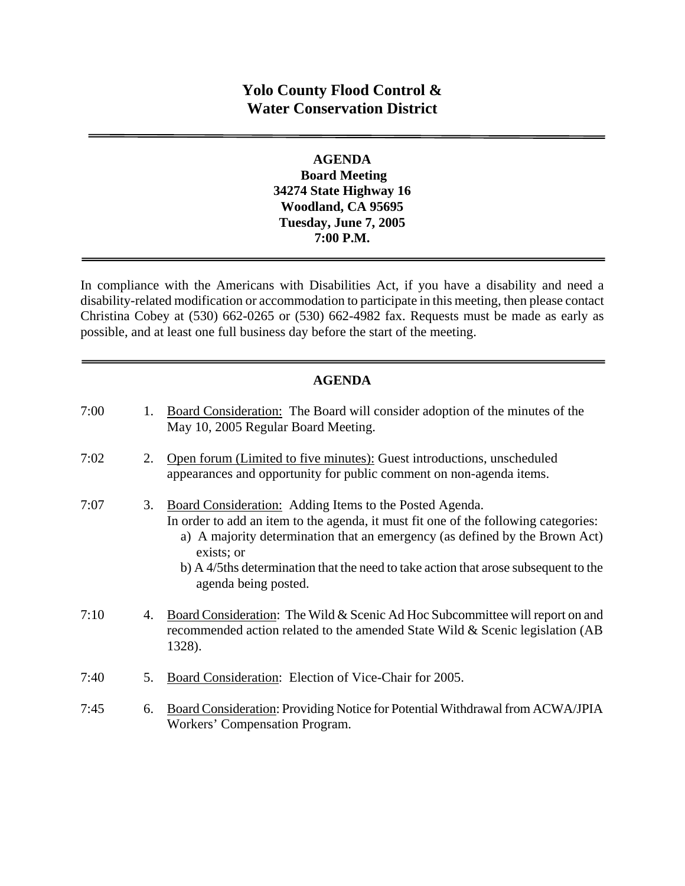# **Yolo County Flood Control & Water Conservation District**

## **AGENDA Board Meeting 34274 State Highway 16 Woodland, CA 95695 Tuesday, June 7, 2005 7:00 P.M.**

In compliance with the Americans with Disabilities Act, if you have a disability and need a disability-related modification or accommodation to participate in this meeting, then please contact Christina Cobey at (530) 662-0265 or (530) 662-4982 fax. Requests must be made as early as possible, and at least one full business day before the start of the meeting.

## **AGENDA**

| 7:00 | 1. | Board Consideration: The Board will consider adoption of the minutes of the<br>May 10, 2005 Regular Board Meeting.                                                                                                                                                                                                                                                |
|------|----|-------------------------------------------------------------------------------------------------------------------------------------------------------------------------------------------------------------------------------------------------------------------------------------------------------------------------------------------------------------------|
| 7:02 | 2. | Open forum (Limited to five minutes): Guest introductions, unscheduled<br>appearances and opportunity for public comment on non-agenda items.                                                                                                                                                                                                                     |
| 7:07 | 3. | <b>Board Consideration:</b> Adding Items to the Posted Agenda.<br>In order to add an item to the agenda, it must fit one of the following categories:<br>a) A majority determination that an emergency (as defined by the Brown Act)<br>exists; or<br>b) A 4/5ths determination that the need to take action that arose subsequent to the<br>agenda being posted. |
| 7:10 | 4. | Board Consideration: The Wild & Scenic Ad Hoc Subcommittee will report on and<br>recommended action related to the amended State Wild & Scenic legislation (AB<br>1328).                                                                                                                                                                                          |
| 7:40 | 5. | Board Consideration: Election of Vice-Chair for 2005.                                                                                                                                                                                                                                                                                                             |
| 7:45 | 6. | Board Consideration: Providing Notice for Potential Withdrawal from ACWA/JPIA<br>Workers' Compensation Program.                                                                                                                                                                                                                                                   |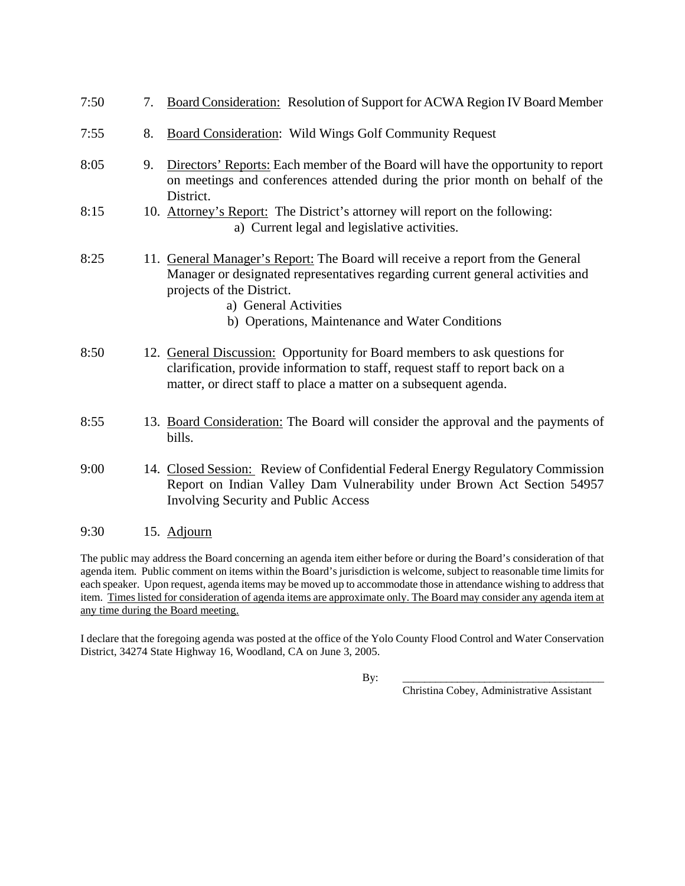| 7:50 | 7. | Board Consideration: Resolution of Support for ACWA Region IV Board Member                                                                                                                                                                                                |
|------|----|---------------------------------------------------------------------------------------------------------------------------------------------------------------------------------------------------------------------------------------------------------------------------|
| 7:55 | 8. | <b>Board Consideration: Wild Wings Golf Community Request</b>                                                                                                                                                                                                             |
| 8:05 | 9. | Directors' Reports: Each member of the Board will have the opportunity to report<br>on meetings and conferences attended during the prior month on behalf of the<br>District.                                                                                             |
| 8:15 |    | 10. Attorney's Report: The District's attorney will report on the following:<br>a) Current legal and legislative activities.                                                                                                                                              |
| 8:25 |    | 11. General Manager's Report: The Board will receive a report from the General<br>Manager or designated representatives regarding current general activities and<br>projects of the District.<br>a) General Activities<br>b) Operations, Maintenance and Water Conditions |
| 8:50 |    | 12. General Discussion: Opportunity for Board members to ask questions for<br>clarification, provide information to staff, request staff to report back on a<br>matter, or direct staff to place a matter on a subsequent agenda.                                         |
| 8:55 |    | 13. Board Consideration: The Board will consider the approval and the payments of<br>bills.                                                                                                                                                                               |
| 9:00 |    | 14. Closed Session: Review of Confidential Federal Energy Regulatory Commission<br>Report on Indian Valley Dam Vulnerability under Brown Act Section 54957<br><b>Involving Security and Public Access</b>                                                                 |
| 9:30 |    | 15. Adjourn                                                                                                                                                                                                                                                               |

The public may address the Board concerning an agenda item either before or during the Board's consideration of that agenda item. Public comment on items within the Board's jurisdiction is welcome, subject to reasonable time limits for each speaker. Upon request, agenda items may be moved up to accommodate those in attendance wishing to address that item. Times listed for consideration of agenda items are approximate only. The Board may consider any agenda item at any time during the Board meeting.

I declare that the foregoing agenda was posted at the office of the Yolo County Flood Control and Water Conservation District, 34274 State Highway 16, Woodland, CA on June 3, 2005.

By: \_\_\_\_\_\_\_\_\_\_\_\_\_\_\_\_\_\_\_\_\_\_\_\_\_\_\_\_\_\_\_\_\_\_\_\_\_

Christina Cobey, Administrative Assistant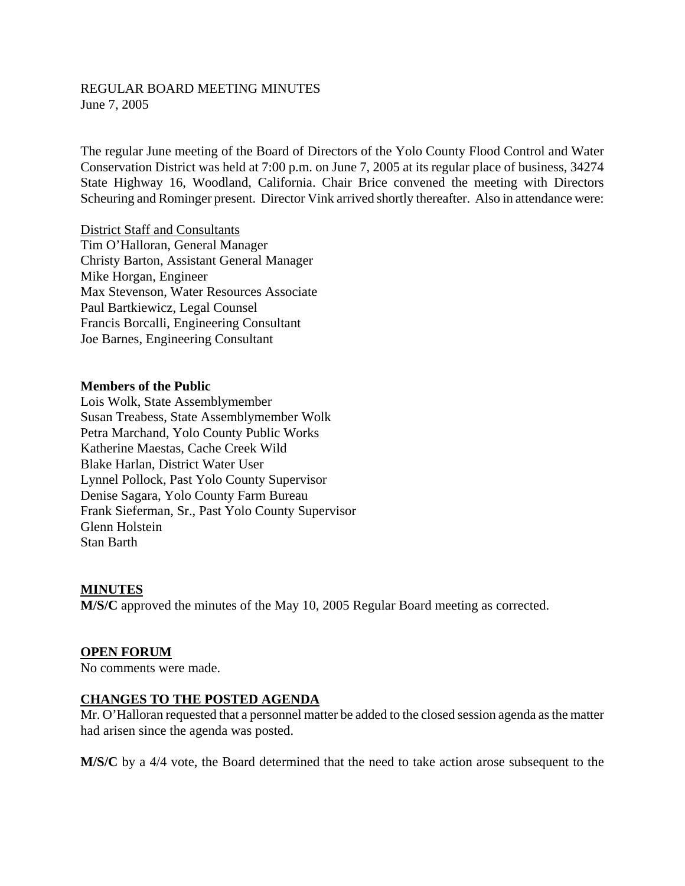#### REGULAR BOARD MEETING MINUTES June 7, 2005

The regular June meeting of the Board of Directors of the Yolo County Flood Control and Water Conservation District was held at 7:00 p.m. on June 7, 2005 at its regular place of business, 34274 State Highway 16, Woodland, California. Chair Brice convened the meeting with Directors Scheuring and Rominger present. Director Vink arrived shortly thereafter. Also in attendance were:

District Staff and Consultants Tim O'Halloran, General Manager Christy Barton, Assistant General Manager Mike Horgan, Engineer Max Stevenson, Water Resources Associate Paul Bartkiewicz, Legal Counsel Francis Borcalli, Engineering Consultant Joe Barnes, Engineering Consultant

#### **Members of the Public**

Lois Wolk, State Assemblymember Susan Treabess, State Assemblymember Wolk Petra Marchand, Yolo County Public Works Katherine Maestas, Cache Creek Wild Blake Harlan, District Water User Lynnel Pollock, Past Yolo County Supervisor Denise Sagara, Yolo County Farm Bureau Frank Sieferman, Sr., Past Yolo County Supervisor Glenn Holstein Stan Barth

#### **MINUTES**

**M/S/C** approved the minutes of the May 10, 2005 Regular Board meeting as corrected.

#### **OPEN FORUM**

No comments were made.

#### **CHANGES TO THE POSTED AGENDA**

Mr. O'Halloran requested that a personnel matter be added to the closed session agenda as the matter had arisen since the agenda was posted.

**M/S/C** by a 4/4 vote, the Board determined that the need to take action arose subsequent to the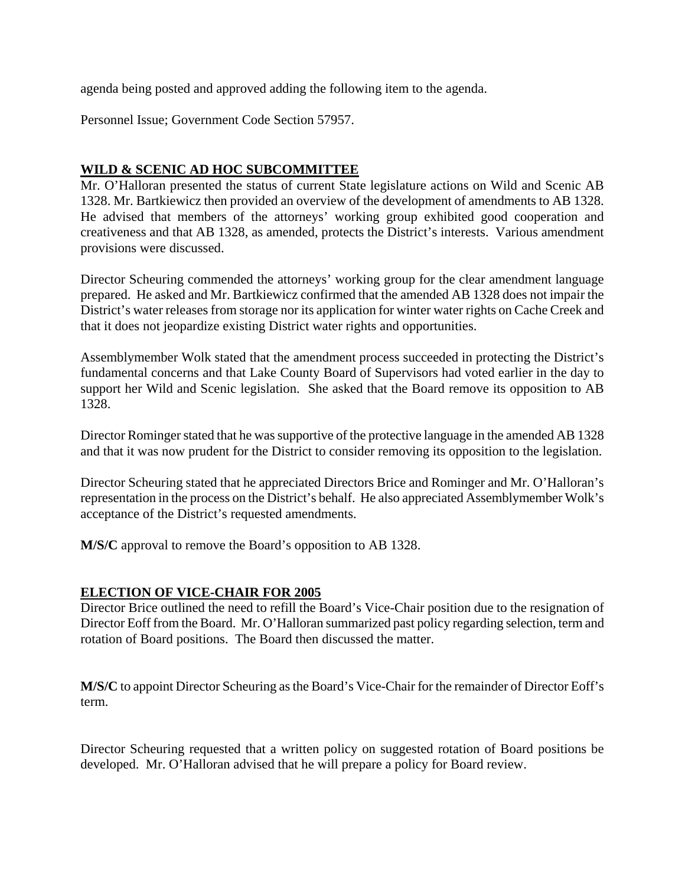agenda being posted and approved adding the following item to the agenda.

Personnel Issue; Government Code Section 57957.

## **WILD & SCENIC AD HOC SUBCOMMITTEE**

Mr. O'Halloran presented the status of current State legislature actions on Wild and Scenic AB 1328. Mr. Bartkiewicz then provided an overview of the development of amendments to AB 1328. He advised that members of the attorneys' working group exhibited good cooperation and creativeness and that AB 1328, as amended, protects the District's interests. Various amendment provisions were discussed.

Director Scheuring commended the attorneys' working group for the clear amendment language prepared. He asked and Mr. Bartkiewicz confirmed that the amended AB 1328 does not impair the District's water releases from storage nor its application for winter water rights on Cache Creek and that it does not jeopardize existing District water rights and opportunities.

Assemblymember Wolk stated that the amendment process succeeded in protecting the District's fundamental concerns and that Lake County Board of Supervisors had voted earlier in the day to support her Wild and Scenic legislation. She asked that the Board remove its opposition to AB 1328.

Director Rominger stated that he was supportive of the protective language in the amended AB 1328 and that it was now prudent for the District to consider removing its opposition to the legislation.

Director Scheuring stated that he appreciated Directors Brice and Rominger and Mr. O'Halloran's representation in the process on the District's behalf. He also appreciated Assemblymember Wolk's acceptance of the District's requested amendments.

**M/S/C** approval to remove the Board's opposition to AB 1328.

## **ELECTION OF VICE-CHAIR FOR 2005**

Director Brice outlined the need to refill the Board's Vice-Chair position due to the resignation of Director Eoff from the Board. Mr. O'Halloran summarized past policy regarding selection, term and rotation of Board positions. The Board then discussed the matter.

**M/S/C** to appoint Director Scheuring as the Board's Vice-Chair for the remainder of Director Eoff's term.

Director Scheuring requested that a written policy on suggested rotation of Board positions be developed. Mr. O'Halloran advised that he will prepare a policy for Board review.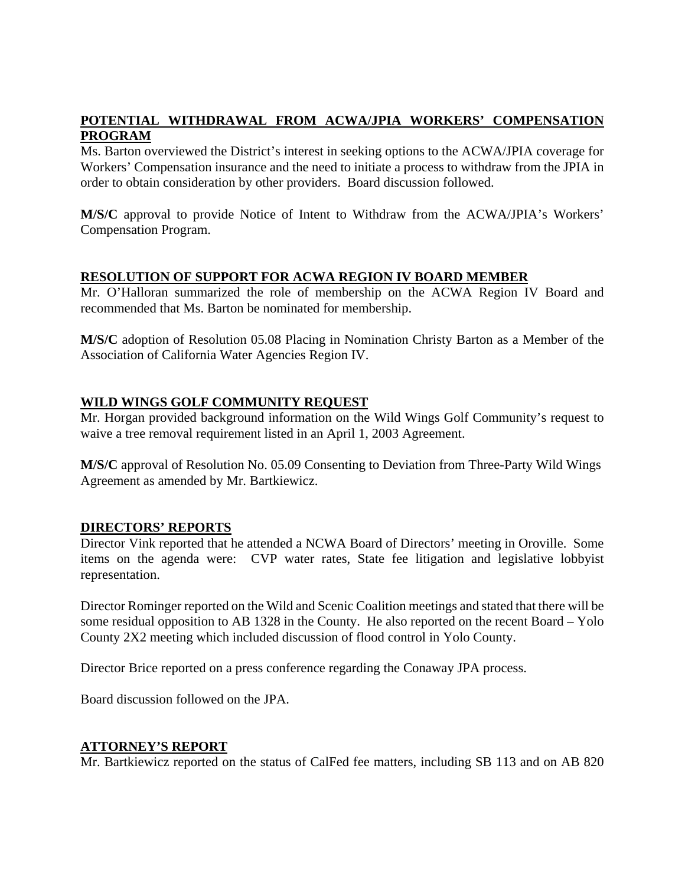## **POTENTIAL WITHDRAWAL FROM ACWA/JPIA WORKERS' COMPENSATION PROGRAM**

Ms. Barton overviewed the District's interest in seeking options to the ACWA/JPIA coverage for Workers' Compensation insurance and the need to initiate a process to withdraw from the JPIA in order to obtain consideration by other providers. Board discussion followed.

**M/S/C** approval to provide Notice of Intent to Withdraw from the ACWA/JPIA's Workers' Compensation Program.

## **RESOLUTION OF SUPPORT FOR ACWA REGION IV BOARD MEMBER**

Mr. O'Halloran summarized the role of membership on the ACWA Region IV Board and recommended that Ms. Barton be nominated for membership.

**M/S/C** adoption of Resolution 05.08 Placing in Nomination Christy Barton as a Member of the Association of California Water Agencies Region IV.

## **WILD WINGS GOLF COMMUNITY REQUEST**

Mr. Horgan provided background information on the Wild Wings Golf Community's request to waive a tree removal requirement listed in an April 1, 2003 Agreement.

**M/S/C** approval of Resolution No. 05.09 Consenting to Deviation from Three-Party Wild Wings Agreement as amended by Mr. Bartkiewicz.

## **DIRECTORS' REPORTS**

Director Vink reported that he attended a NCWA Board of Directors' meeting in Oroville. Some items on the agenda were: CVP water rates, State fee litigation and legislative lobbyist representation.

Director Rominger reported on the Wild and Scenic Coalition meetings and stated that there will be some residual opposition to AB 1328 in the County. He also reported on the recent Board – Yolo County 2X2 meeting which included discussion of flood control in Yolo County.

Director Brice reported on a press conference regarding the Conaway JPA process.

Board discussion followed on the JPA.

#### **ATTORNEY'S REPORT**

Mr. Bartkiewicz reported on the status of CalFed fee matters, including SB 113 and on AB 820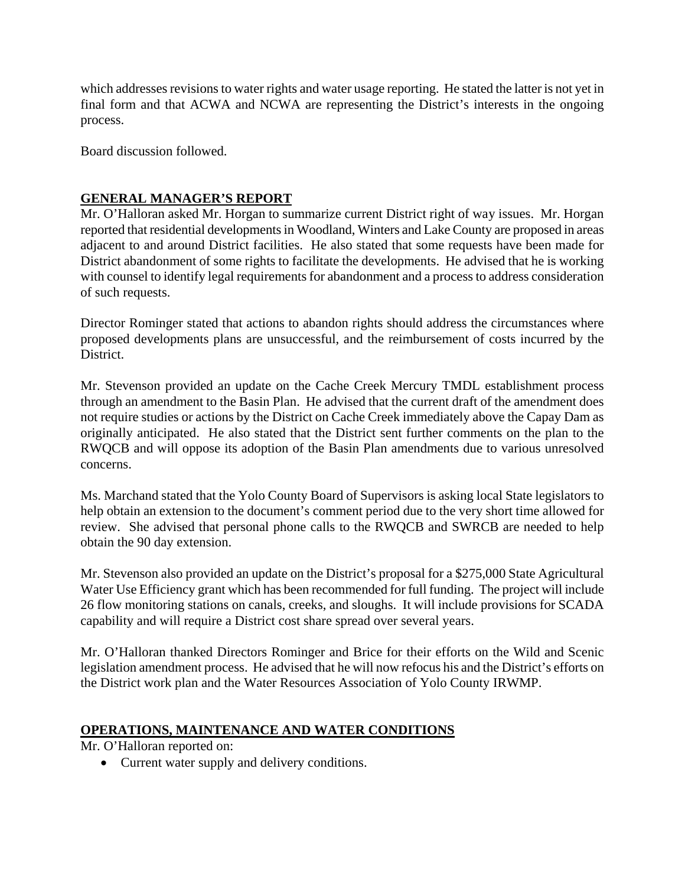which addresses revisions to water rights and water usage reporting. He stated the latter is not yet in final form and that ACWA and NCWA are representing the District's interests in the ongoing process.

Board discussion followed.

## **GENERAL MANAGER'S REPORT**

Mr. O'Halloran asked Mr. Horgan to summarize current District right of way issues. Mr. Horgan reported that residential developments in Woodland, Winters and Lake County are proposed in areas adjacent to and around District facilities. He also stated that some requests have been made for District abandonment of some rights to facilitate the developments. He advised that he is working with counsel to identify legal requirements for abandonment and a process to address consideration of such requests.

Director Rominger stated that actions to abandon rights should address the circumstances where proposed developments plans are unsuccessful, and the reimbursement of costs incurred by the District.

Mr. Stevenson provided an update on the Cache Creek Mercury TMDL establishment process through an amendment to the Basin Plan. He advised that the current draft of the amendment does not require studies or actions by the District on Cache Creek immediately above the Capay Dam as originally anticipated. He also stated that the District sent further comments on the plan to the RWQCB and will oppose its adoption of the Basin Plan amendments due to various unresolved concerns.

Ms. Marchand stated that the Yolo County Board of Supervisors is asking local State legislators to help obtain an extension to the document's comment period due to the very short time allowed for review. She advised that personal phone calls to the RWQCB and SWRCB are needed to help obtain the 90 day extension.

Mr. Stevenson also provided an update on the District's proposal for a \$275,000 State Agricultural Water Use Efficiency grant which has been recommended for full funding. The project will include 26 flow monitoring stations on canals, creeks, and sloughs. It will include provisions for SCADA capability and will require a District cost share spread over several years.

Mr. O'Halloran thanked Directors Rominger and Brice for their efforts on the Wild and Scenic legislation amendment process. He advised that he will now refocus his and the District's efforts on the District work plan and the Water Resources Association of Yolo County IRWMP.

## **OPERATIONS, MAINTENANCE AND WATER CONDITIONS**

Mr. O'Halloran reported on:

Current water supply and delivery conditions.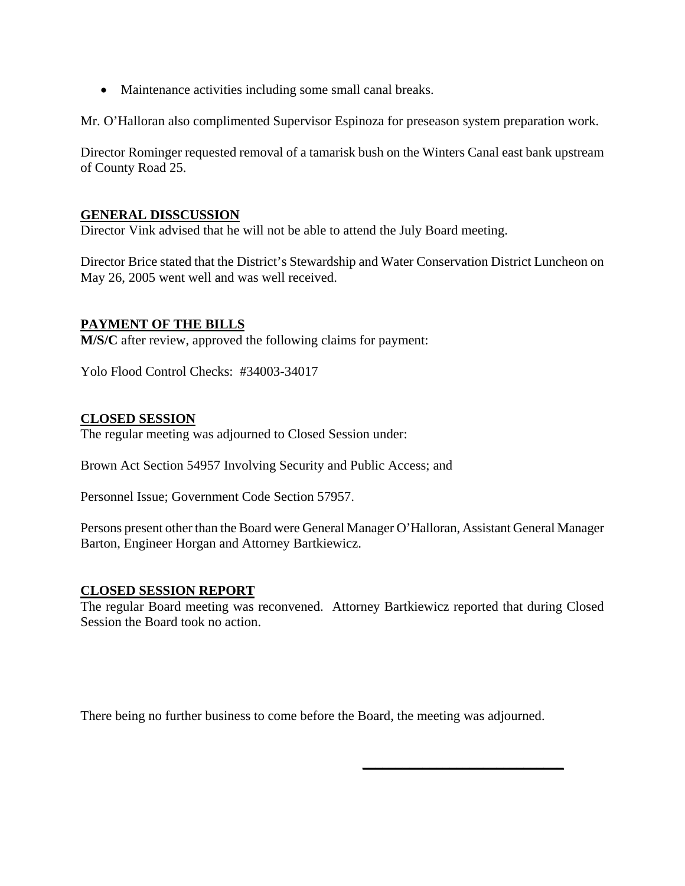Maintenance activities including some small canal breaks.

Mr. O'Halloran also complimented Supervisor Espinoza for preseason system preparation work.

Director Rominger requested removal of a tamarisk bush on the Winters Canal east bank upstream of County Road 25.

#### **GENERAL DISSCUSSION**

Director Vink advised that he will not be able to attend the July Board meeting.

Director Brice stated that the District's Stewardship and Water Conservation District Luncheon on May 26, 2005 went well and was well received.

#### **PAYMENT OF THE BILLS**

**M/S/C** after review, approved the following claims for payment:

Yolo Flood Control Checks: #34003-34017

#### **CLOSED SESSION**

The regular meeting was adjourned to Closed Session under:

Brown Act Section 54957 Involving Security and Public Access; and

Personnel Issue; Government Code Section 57957.

Persons present other than the Board were General Manager O'Halloran, Assistant General Manager Barton, Engineer Horgan and Attorney Bartkiewicz.

#### **CLOSED SESSION REPORT**

The regular Board meeting was reconvened. Attorney Bartkiewicz reported that during Closed Session the Board took no action.

\_\_\_\_\_\_\_\_\_\_\_\_\_\_\_\_\_\_\_\_\_\_\_\_\_\_\_\_\_\_

There being no further business to come before the Board, the meeting was adjourned.